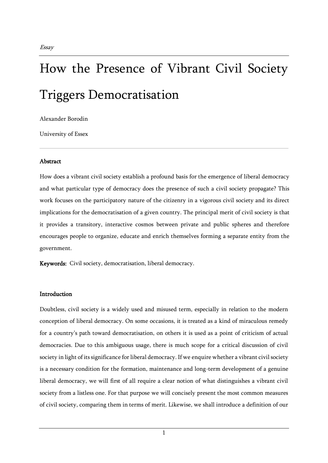# How the Presence of Vibrant Civil Society Triggers Democratisation

Alexander Borodin

University of Essex

# Abstract

How does a vibrant civil society establish a profound basis for the emergence of liberal democracy and what particular type of democracy does the presence of such a civil society propagate? This work focuses on the participatory nature of the citizenry in a vigorous civil society and its direct implications for the democratisation of a given country. The principal merit of civil society is that it provides a transitory, interactive cosmos between private and public spheres and therefore encourages people to organize, educate and enrich themselves forming a separate entity from the government.

Keywords: Civil society, democratisation, liberal democracy.

## **Introduction**

Doubtless, civil society is a widely used and misused term, especially in relation to the modern conception of liberal democracy. On some occasions, it is treated as a kind of miraculous remedy for a country's path toward democratisation, on others it is used as a point of criticism of actual democracies. Due to this ambiguous usage, there is much scope for a critical discussion of civil society in light of its significance for liberal democracy. If we enquire whether a vibrant civil society is a necessary condition for the formation, maintenance and long-term development of a genuine liberal democracy, we will first of all require a clear notion of what distinguishes a vibrant civil society from a listless one. For that purpose we will concisely present the most common measures of civil society, comparing them in terms of merit. Likewise, we shall introduce a definition of our

1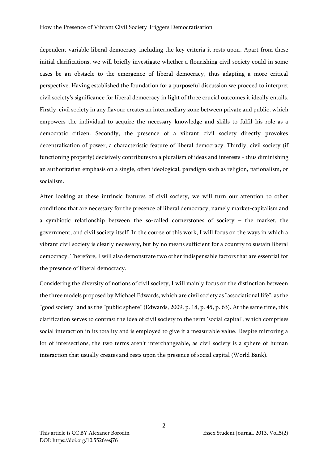dependent variable liberal democracy including the key criteria it rests upon. Apart from these initial clarifications, we will briefly investigate whether a flourishing civil society could in some cases be an obstacle to the emergence of liberal democracy, thus adapting a more critical perspective. Having established the foundation for a purposeful discussion we proceed to interpret civil society's significance for liberal democracy in light of three crucial outcomes it ideally entails. Firstly, civil society in any flavour creates an intermediary zone between private and public, which empowers the individual to acquire the necessary knowledge and skills to fulfil his role as a democratic citizen. Secondly, the presence of a vibrant civil society directly provokes decentralisation of power, a characteristic feature of liberal democracy. Thirdly, civil society (if functioning properly) decisively contributes to a pluralism of ideas and interests - thus diminishing an authoritarian emphasis on a single, often ideological, paradigm such as religion, nationalism, or socialism.

After looking at these intrinsic features of civil society, we will turn our attention to other conditions that are necessary for the presence of liberal democracy, namely market-capitalism and a symbiotic relationship between the so-called cornerstones of society – the market, the government, and civil society itself. In the course of this work, I will focus on the ways in which a vibrant civil society is clearly necessary, but by no means sufficient for a country to sustain liberal democracy. Therefore, I will also demonstrate two other indispensable factors that are essential for the presence of liberal democracy.

Considering the diversity of notions of civil society, I will mainly focus on the distinction between the three models proposed by Michael Edwards, which are civil society as "associational life", as the "good society" and as the "public sphere" (Edwards, 2009, p. 18, p. 45, p. 63). At the same time, this clarification serves to contrast the idea of civil society to the term 'social capital', which comprises social interaction in its totality and is employed to give it a measurable value. Despite mirroring a lot of intersections, the two terms aren't interchangeable, as civil society is a sphere of human interaction that usually creates and rests upon the presence of social capital (World Bank).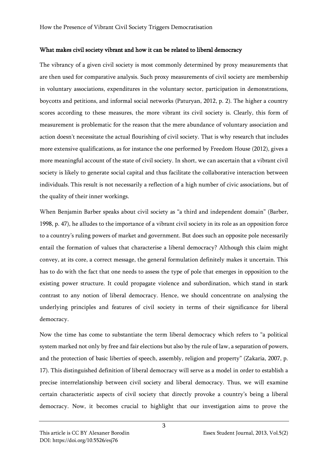#### What makes civil society vibrant and how it can be related to liberal democracy

The vibrancy of a given civil society is most commonly determined by proxy measurements that are then used for comparative analysis. Such proxy measurements of civil society are membership in voluntary associations, expenditures in the voluntary sector, participation in demonstrations, boycotts and petitions, and informal social networks (Paturyan, 2012, p. 2). The higher a country scores according to these measures, the more vibrant its civil society is. Clearly, this form of measurement is problematic for the reason that the mere abundance of voluntary association and action doesn't necessitate the actual flourishing of civil society. That is why research that includes more extensive qualifications, as for instance the one performed by Freedom House (2012), gives a more meaningful account of the state of civil society. In short, we can ascertain that a vibrant civil society is likely to generate social capital and thus facilitate the collaborative interaction between individuals. This result is not necessarily a reflection of a high number of civic associations, but of the quality of their inner workings.

When Benjamin Barber speaks about civil society as "a third and independent domain" (Barber, 1998, p. 47), he alludes to the importance of a vibrant civil society in its role as an opposition force to a country's ruling powers of market and government. But does such an opposite pole necessarily entail the formation of values that characterise a liberal democracy? Although this claim might convey, at its core, a correct message, the general formulation definitely makes it uncertain. This has to do with the fact that one needs to assess the type of pole that emerges in opposition to the existing power structure. It could propagate violence and subordination, which stand in stark contrast to any notion of liberal democracy. Hence, we should concentrate on analysing the underlying principles and features of civil society in terms of their significance for liberal democracy.

Now the time has come to substantiate the term liberal democracy which refers to "a political system marked not only by free and fair elections but also by the rule of law, a separation of powers, and the protection of basic liberties of speech, assembly, religion and property" (Zakaria, 2007, p. 17). This distinguished definition of liberal democracy will serve as a model in order to establish a precise interrelationship between civil society and liberal democracy. Thus, we will examine certain characteristic aspects of civil society that directly provoke a country's being a liberal democracy. Now, it becomes crucial to highlight that our investigation aims to prove the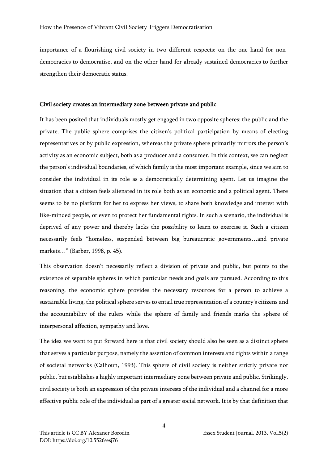importance of a flourishing civil society in two different respects: on the one hand for nondemocracies to democratise, and on the other hand for already sustained democracies to further strengthen their democratic status.

## Civil society creates an intermediary zone between private and public

It has been posited that individuals mostly get engaged in two opposite spheres: the public and the private. The public sphere comprises the citizen's political participation by means of electing representatives or by public expression, whereas the private sphere primarily mirrors the person's activity as an economic subject, both as a producer and a consumer. In this context, we can neglect the person's individual boundaries, of which family is the most important example, since we aim to consider the individual in its role as a democratically determining agent. Let us imagine the situation that a citizen feels alienated in its role both as an economic and a political agent. There seems to be no platform for her to express her views, to share both knowledge and interest with like-minded people, or even to protect her fundamental rights. In such a scenario, the individual is deprived of any power and thereby lacks the possibility to learn to exercise it. Such a citizen necessarily feels "homeless, suspended between big bureaucratic governments…and private markets…" (Barber, 1998, p. 45).

This observation doesn't necessarily reflect a division of private and public, but points to the existence of separable spheres in which particular needs and goals are pursued. According to this reasoning, the economic sphere provides the necessary resources for a person to achieve a sustainable living, the political sphere serves to entail true representation of a country's citizens and the accountability of the rulers while the sphere of family and friends marks the sphere of interpersonal affection, sympathy and love.

The idea we want to put forward here is that civil society should also be seen as a distinct sphere that serves a particular purpose, namely the assertion of common interests and rights within a range of societal networks (Calhoun, 1993). This sphere of civil society is neither strictly private nor public, but establishes a highly important intermediary zone between private and public. Strikingly, civil society is both an expression of the private interests of the individual and a channel for a more effective public role of the individual as part of a greater social network. It is by that definition that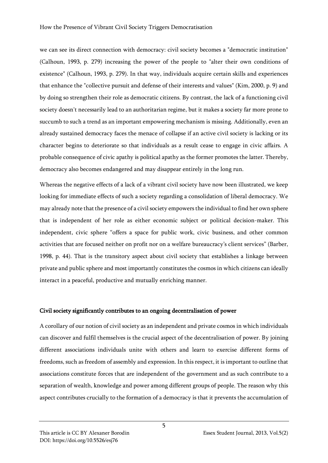we can see its direct connection with democracy: civil society becomes a "democratic institution" (Calhoun, 1993, p. 279) increasing the power of the people to "alter their own conditions of existence" (Calhoun, 1993, p. 279). In that way, individuals acquire certain skills and experiences that enhance the "collective pursuit and defense of their interests and values" (Kim, 2000, p. 9) and by doing so strengthen their role as democratic citizens. By contrast, the lack of a functioning civil society doesn't necessarily lead to an authoritarian regime, but it makes a society far more prone to succumb to such a trend as an important empowering mechanism is missing. Additionally, even an already sustained democracy faces the menace of collapse if an active civil society is lacking or its character begins to deteriorate so that individuals as a result cease to engage in civic affairs. A probable consequence of civic apathy is political apathy as the former promotes the latter. Thereby, democracy also becomes endangered and may disappear entirely in the long run.

Whereas the negative effects of a lack of a vibrant civil society have now been illustrated, we keep looking for immediate effects of such a society regarding a consolidation of liberal democracy. We may already note that the presence of a civil society empowers the individual to find her own sphere that is independent of her role as either economic subject or political decision-maker. This independent, civic sphere "offers a space for public work, civic business, and other common activities that are focused neither on profit nor on a welfare bureaucracy's client services" (Barber, 1998, p. 44). That is the transitory aspect about civil society that establishes a linkage between private and public sphere and most importantly constitutes the cosmos in which citizens can ideally interact in a peaceful, productive and mutually enriching manner.

## Civil society significantly contributes to an ongoing decentralisation of power

A corollary of our notion of civil society as an independent and private cosmos in which individuals can discover and fulfil themselves is the crucial aspect of the decentralisation of power. By joining different associations individuals unite with others and learn to exercise different forms of freedoms, such as freedom of assembly and expression. In this respect, it is important to outline that associations constitute forces that are independent of the government and as such contribute to a separation of wealth, knowledge and power among different groups of people. The reason why this aspect contributes crucially to the formation of a democracy is that it prevents the accumulation of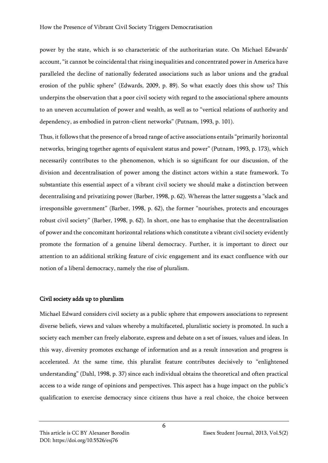power by the state, which is so characteristic of the authoritarian state. On Michael Edwards' account, "it cannot be coincidental that rising inequalities and concentrated power in America have paralleled the decline of nationally federated associations such as labor unions and the gradual erosion of the public sphere" (Edwards, 2009, p. 89). So what exactly does this show us? This underpins the observation that a poor civil society with regard to the associational sphere amounts to an uneven accumulation of power and wealth, as well as to "vertical relations of authority and dependency, as embodied in patron-client networks" (Putnam, 1993, p. 101).

Thus, it follows that the presence of a broad range of active associations entails "primarily horizontal networks, bringing together agents of equivalent status and power" (Putnam, 1993, p. 173), which necessarily contributes to the phenomenon, which is so significant for our discussion, of the division and decentralisation of power among the distinct actors within a state framework. To substantiate this essential aspect of a vibrant civil society we should make a distinction between decentralising and privatizing power (Barber, 1998, p. 62). Whereas the latter suggests a "slack and irresponsible government" (Barber, 1998, p. 62), the former "nourishes, protects and encourages robust civil society" (Barber, 1998, p. 62). In short, one has to emphasise that the decentralisation of power and the concomitant horizontal relations which constitute a vibrant civil society evidently promote the formation of a genuine liberal democracy. Further, it is important to direct our attention to an additional striking feature of civic engagement and its exact confluence with our notion of a liberal democracy, namely the rise of pluralism.

#### Civil society adds up to pluralism

Michael Edward considers civil society as a public sphere that empowers associations to represent diverse beliefs, views and values whereby a multifaceted, pluralistic society is promoted. In such a society each member can freely elaborate, express and debate on a set of issues, values and ideas. In this way, diversity promotes exchange of information and as a result innovation and progress is accelerated. At the same time, this pluralist feature contributes decisively to "enlightened understanding" (Dahl, 1998, p. 37) since each individual obtains the theoretical and often practical access to a wide range of opinions and perspectives. This aspect has a huge impact on the public's qualification to exercise democracy since citizens thus have a real choice, the choice between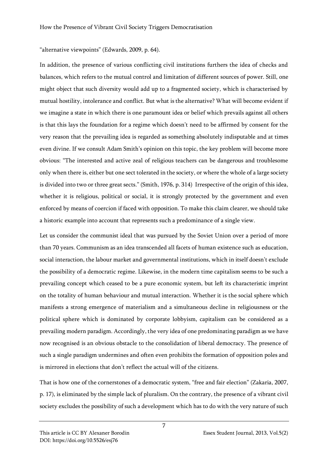# "alternative viewpoints" (Edwards, 2009, p. 64).

In addition, the presence of various conflicting civil institutions furthers the idea of checks and balances, which refers to the mutual control and limitation of different sources of power. Still, one might object that such diversity would add up to a fragmented society, which is characterised by mutual hostility, intolerance and conflict. But what is the alternative? What will become evident if we imagine a state in which there is one paramount idea or belief which prevails against all others is that this lays the foundation for a regime which doesn't need to be affirmed by consent for the very reason that the prevailing idea is regarded as something absolutely indisputable and at times even divine. If we consult Adam Smith's opinion on this topic, the key problem will become more obvious: "The interested and active zeal of religious teachers can be dangerous and troublesome only when there is, either but one sect tolerated in the society, or where the whole of a large society is divided into two or three great sects." (Smith, 1976, p. 314) Irrespective of the origin of this idea, whether it is religious, political or social, it is strongly protected by the government and even enforced by means of coercion if faced with opposition. To make this claim clearer, we should take a historic example into account that represents such a predominance of a single view.

Let us consider the communist ideal that was pursued by the Soviet Union over a period of more than 70 years. Communism as an idea transcended all facets of human existence such as education, social interaction, the labour market and governmental institutions, which in itself doesn't exclude the possibility of a democratic regime. Likewise, in the modern time capitalism seems to be such a prevailing concept which ceased to be a pure economic system, but left its characteristic imprint on the totality of human behaviour and mutual interaction. Whether it is the social sphere which manifests a strong emergence of materialism and a simultaneous decline in religiousness or the political sphere which is dominated by corporate lobbyism, capitalism can be considered as a prevailing modern paradigm. Accordingly, the very idea of one predominating paradigm as we have now recognised is an obvious obstacle to the consolidation of liberal democracy. The presence of such a single paradigm undermines and often even prohibits the formation of opposition poles and is mirrored in elections that don't reflect the actual will of the citizens.

That is how one of the cornerstones of a democratic system, "free and fair election" (Zakaria, 2007, p. 17), is eliminated by the simple lack of pluralism. On the contrary, the presence of a vibrant civil society excludes the possibility of such a development which has to do with the very nature of such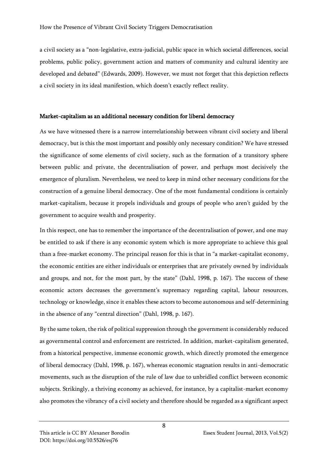a civil society as a "non-legislative, extra-judicial, public space in which societal differences, social problems, public policy, government action and matters of community and cultural identity are developed and debated" (Edwards, 2009). However, we must not forget that this depiction reflects a civil society in its ideal manifestion, which doesn't exactly reflect reality.

## Market-capitalism as an additional necessary condition for liberal democracy

As we have witnessed there is a narrow interrelationship between vibrant civil society and liberal democracy, but is this the most important and possibly only necessary condition? We have stressed the significance of some elements of civil society, such as the formation of a transitory sphere between public and private, the decentralisation of power, and perhaps most decisively the emergence of pluralism. Nevertheless, we need to keep in mind other necessary conditions for the construction of a genuine liberal democracy. One of the most fundamental conditions is certainly market-capitalism, because it propels individuals and groups of people who aren't guided by the government to acquire wealth and prosperity.

In this respect, one has to remember the importance of the decentralisation of power, and one may be entitled to ask if there is any economic system which is more appropriate to achieve this goal than a free-market economy. The principal reason for this is that in "a market-capitalist economy, the economic entities are either individuals or enterprises that are privately owned by individuals and groups, and not, for the most part, by the state" (Dahl, 1998, p. 167). The success of these economic actors decreases the government's supremacy regarding capital, labour resources, technology or knowledge, since it enables these actors to become autonomous and self-determining in the absence of any "central direction" (Dahl, 1998, p. 167).

By the same token, the risk of political suppression through the government is considerably reduced as governmental control and enforcement are restricted. In addition, market-capitalism generated, from a historical perspective, immense economic growth, which directly promoted the emergence of liberal democracy (Dahl, 1998, p. 167), whereas economic stagnation results in anti-democratic movements, such as the disruption of the rule of law due to unbridled conflict between economic subjects. Strikingly, a thriving economy as achieved, for instance, by a capitalist-market economy also promotes the vibrancy of a civil society and therefore should be regarded as a significant aspect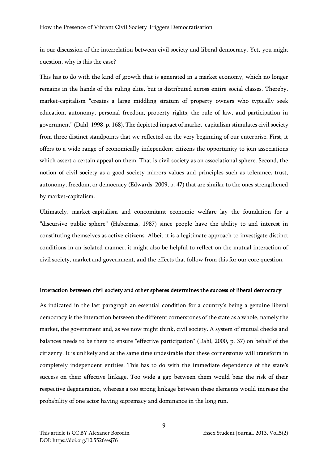in our discussion of the interrelation between civil society and liberal democracy. Yet, you might question, why is this the case?

This has to do with the kind of growth that is generated in a market economy, which no longer remains in the hands of the ruling elite, but is distributed across entire social classes. Thereby, market-capitalism "creates a large middling stratum of property owners who typically seek education, autonomy, personal freedom, property rights, the rule of law, and participation in government" (Dahl, 1998, p. 168). The depicted impact of market-capitalism stimulates civil society from three distinct standpoints that we reflected on the very beginning of our enterprise. First, it offers to a wide range of economically independent citizens the opportunity to join associations which assert a certain appeal on them. That is civil society as an associational sphere. Second, the notion of civil society as a good society mirrors values and principles such as tolerance, trust, autonomy, freedom, or democracy (Edwards, 2009, p. 47) that are similar to the ones strengthened by market-capitalism.

Ultimately, market-capitalism and concomitant economic welfare lay the foundation for a "discursive public sphere" (Habermas, 1987) since people have the ability to and interest in constituting themselves as active citizens. Albeit it is a legitimate approach to investigate distinct conditions in an isolated manner, it might also be helpful to reflect on the mutual interaction of civil society, market and government, and the effects that follow from this for our core question.

## Interaction between civil society and other spheres determines the success of liberal democracy

As indicated in the last paragraph an essential condition for a country's being a genuine liberal democracy is the interaction between the different cornerstones of the state as a whole, namely the market, the government and, as we now might think, civil society. A system of mutual checks and balances needs to be there to ensure "effective participation" (Dahl, 2000, p. 37) on behalf of the citizenry. It is unlikely and at the same time undesirable that these cornerstones will transform in completely independent entities. This has to do with the immediate dependence of the state's success on their effective linkage. Too wide a gap between them would bear the risk of their respective degeneration, whereas a too strong linkage between these elements would increase the probability of one actor having supremacy and dominance in the long run.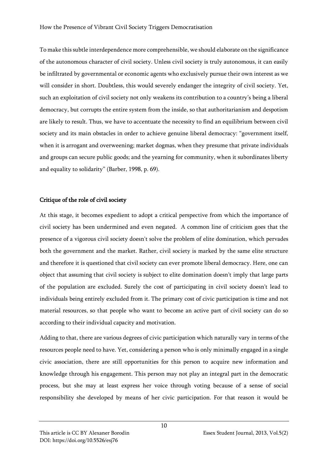To make this subtle interdependence more comprehensible, we should elaborate on the significance of the autonomous character of civil society. Unless civil society is truly autonomous, it can easily be infiltrated by governmental or economic agents who exclusively pursue their own interest as we will consider in short. Doubtless, this would severely endanger the integrity of civil society. Yet, such an exploitation of civil society not only weakens its contribution to a country's being a liberal democracy, but corrupts the entire system from the inside, so that authoritarianism and despotism are likely to result. Thus, we have to accentuate the necessity to find an equilibrium between civil society and its main obstacles in order to achieve genuine liberal democracy: "government itself, when it is arrogant and overweening; market dogmas, when they presume that private individuals and groups can secure public goods; and the yearning for community, when it subordinates liberty and equality to solidarity" (Barber, 1998, p. 69).

# Critique of the role of civil society

At this stage, it becomes expedient to adopt a critical perspective from which the importance of civil society has been undermined and even negated. A common line of criticism goes that the presence of a vigorous civil society doesn't solve the problem of elite domination, which pervades both the government and the market. Rather, civil society is marked by the same elite structure and therefore it is questioned that civil society can ever promote liberal democracy. Here, one can object that assuming that civil society is subject to elite domination doesn't imply that large parts of the population are excluded. Surely the cost of participating in civil society doesn't lead to individuals being entirely excluded from it. The primary cost of civic participation is time and not material resources, so that people who want to become an active part of civil society can do so according to their individual capacity and motivation.

Adding to that, there are various degrees of civic participation which naturally vary in terms of the resources people need to have. Yet, considering a person who is only minimally engaged in a single civic association, there are still opportunities for this person to acquire new information and knowledge through his engagement. This person may not play an integral part in the democratic process, but she may at least express her voice through voting because of a sense of social responsibility she developed by means of her civic participation. For that reason it would be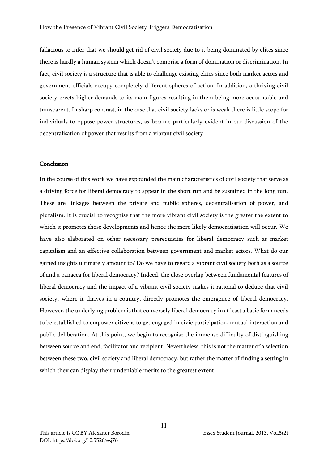fallacious to infer that we should get rid of civil society due to it being dominated by elites since there is hardly a human system which doesn't comprise a form of domination or discrimination. In fact, civil society is a structure that is able to challenge existing elites since both market actors and government officials occupy completely different spheres of action. In addition, a thriving civil society erects higher demands to its main figures resulting in them being more accountable and transparent. In sharp contrast, in the case that civil society lacks or is weak there is little scope for individuals to oppose power structures, as became particularly evident in our discussion of the decentralisation of power that results from a vibrant civil society.

#### Conclusion

In the course of this work we have expounded the main characteristics of civil society that serve as a driving force for liberal democracy to appear in the short run and be sustained in the long run. These are linkages between the private and public spheres, decentralisation of power, and pluralism. It is crucial to recognise that the more vibrant civil society is the greater the extent to which it promotes those developments and hence the more likely democratisation will occur. We have also elaborated on other necessary prerequisites for liberal democracy such as market capitalism and an effective collaboration between government and market actors. What do our gained insights ultimately amount to? Do we have to regard a vibrant civil society both as a source of and a panacea for liberal democracy? Indeed, the close overlap between fundamental features of liberal democracy and the impact of a vibrant civil society makes it rational to deduce that civil society, where it thrives in a country, directly promotes the emergence of liberal democracy. However, the underlying problem is that conversely liberal democracy in at least a basic form needs to be established to empower citizens to get engaged in civic participation, mutual interaction and public deliberation. At this point, we begin to recognise the immense difficulty of distinguishing between source and end, facilitator and recipient. Nevertheless, this is not the matter of a selection between these two, civil society and liberal democracy, but rather the matter of finding a setting in which they can display their undeniable merits to the greatest extent.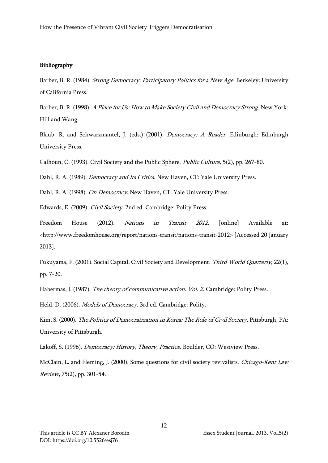# Bibliography

Barber, B. R. (1984). Strong Democracy: Participatory Politics for a New Age. Berkeley: University of California Press.

Barber, B. R. (1998). A Place for Us: How to Make Society Civil and Democracy Strong. New York: Hill and Wang.

Blaub, R. and Schwarzmantel, J. (eds.) (2001). *Democracy: A Reader*. Edinburgh: Edinburgh University Press.

Calhoun, C. (1993). Civil Society and the Public Sphere. Public Culture, 5(2), pp. 267-80.

Dahl, R. A. (1989). *Democracy and Its Critics*. New Haven, CT: Yale University Press.

Dahl, R. A. (1998). On Democracy. New Haven, CT: Yale University Press.

Edwards, E. (2009). Civil Society. 2nd ed. Cambridge: Polity Press.

Freedom House (2012). *Nations in Transit 2012*. [online] Available at: <http://www.freedomhouse.org/report/nations-transit/nations-transit-2012> [Accessed 20 January 2013].

Fukuyama, F. (2001). Social Capital, Civil Society and Development. Third World Quarterly, 22(1), pp. 7-20.

Habermas, J. (1987). *The theory of communicative action. Vol. 2*. Cambridge: Polity Press.

Held, D. (2006). Models of Democracy. 3rd ed. Cambridge: Polity.

Kim, S. (2000). The Politics of Democratization in Korea: The Role of Civil Society. Pittsburgh, PA: University of Pittsburgh.

Lakoff, S. (1996). Democracy: History, Theory, Practice. Boulder, CO: Westview Press.

McClain, L. and Fleming, J. (2000). Some questions for civil society revivalists. Chicago-Kent Law Review, 75(2), pp. 301-54.